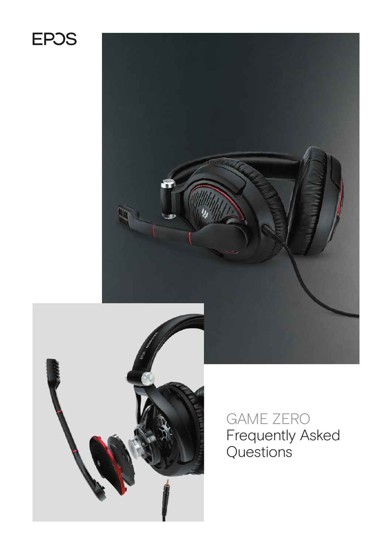# **EPOS**





GAME ZERO Frequently Asked Questions